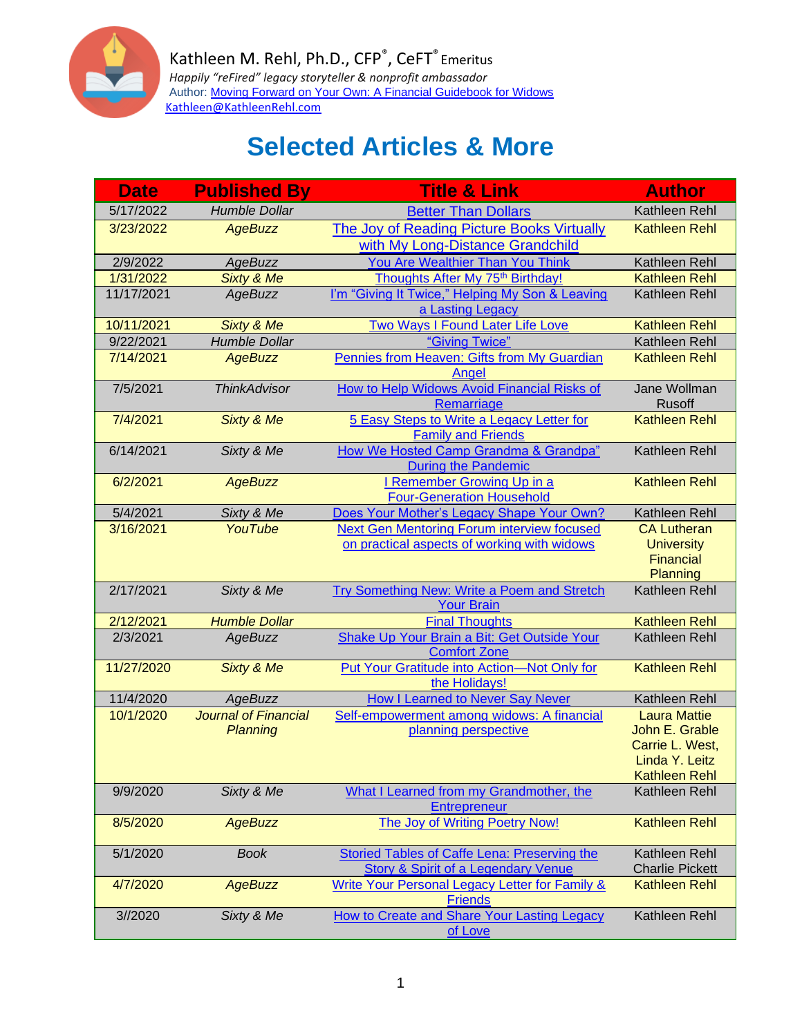

| <b>Date</b>           | <b>Published By</b>         | <b>Title &amp; Link</b>                                                                        | <b>Author</b>                           |
|-----------------------|-----------------------------|------------------------------------------------------------------------------------------------|-----------------------------------------|
| 5/17/2022             | <b>Humble Dollar</b>        | <b>Better Than Dollars</b>                                                                     | Kathleen Rehl                           |
| 3/23/2022             | <b>AgeBuzz</b>              | The Joy of Reading Picture Books Virtually                                                     | <b>Kathleen Rehl</b>                    |
|                       |                             | with My Long-Distance Grandchild                                                               |                                         |
| 2/9/2022              | <b>AgeBuzz</b>              | You Are Wealthier Than You Think                                                               | Kathleen Rehl                           |
| 1/31/2022             | Sixty & Me                  | Thoughts After My 75 <sup>th</sup> Birthday!                                                   | <b>Kathleen Rehl</b>                    |
| 11/17/2021            | AgeBuzz                     | I'm "Giving It Twice," Helping My Son & Leaving<br>a Lasting Legacy                            | Kathleen Rehl                           |
| 10/11/2021            | Sixty & Me                  | Two Ways I Found Later Life Love                                                               | <b>Kathleen Rehl</b>                    |
| 9/22/2021             | <b>Humble Dollar</b>        | "Giving Twice"                                                                                 | Kathleen Rehl                           |
| 7/14/2021             | <b>AgeBuzz</b>              | Pennies from Heaven: Gifts from My Guardian<br>Angel                                           | <b>Kathleen Rehl</b>                    |
| 7/5/2021              | <b>ThinkAdvisor</b>         | How to Help Widows Avoid Financial Risks of<br>Remarriage                                      | Jane Wollman<br>Rusoff                  |
| 7/4/2021              | Sixty & Me                  | 5 Easy Steps to Write a Legacy Letter for<br><b>Family and Friends</b>                         | <b>Kathleen Rehl</b>                    |
| 6/14/2021             | Sixty & Me                  | How We Hosted Camp Grandma & Grandpa"<br><b>During the Pandemic</b>                            | Kathleen Rehl                           |
| 6/2/2021              | <b>AgeBuzz</b>              | I Remember Growing Up in a                                                                     | <b>Kathleen Rehl</b>                    |
|                       |                             | <b>Four-Generation Household</b>                                                               |                                         |
| 5/4/2021<br>3/16/2021 | Sixty & Me<br>YouTube       | Does Your Mother's Legacy Shape Your Own?<br><b>Next Gen Mentoring Forum interview focused</b> | Kathleen Rehl                           |
|                       |                             | on practical aspects of working with widows                                                    | <b>CA Lutheran</b><br><b>University</b> |
|                       |                             |                                                                                                | <b>Financial</b>                        |
|                       |                             |                                                                                                | Planning                                |
| 2/17/2021             | Sixty & Me                  | Try Something New: Write a Poem and Stretch                                                    | Kathleen Rehl                           |
|                       |                             | <b>Your Brain</b>                                                                              |                                         |
| 2/12/2021             | <b>Humble Dollar</b>        | <b>Final Thoughts</b>                                                                          | <b>Kathleen Rehl</b>                    |
| 2/3/2021              | <b>AgeBuzz</b>              | Shake Up Your Brain a Bit: Get Outside Your<br><b>Comfort Zone</b>                             | Kathleen Rehl                           |
| 11/27/2020            | Sixty & Me                  | <b>Put Your Gratitude into Action-Not Only for</b>                                             | <b>Kathleen Rehl</b>                    |
|                       |                             | the Holidays!                                                                                  |                                         |
| 11/4/2020             | AgeBuzz                     | How I Learned to Never Say Never                                                               | Kathleen Rehl                           |
| 10/1/2020             | <b>Journal of Financial</b> | Self-empowerment among widows: A financial                                                     | <b>Laura Mattie</b>                     |
|                       | <b>Planning</b>             | planning perspective                                                                           | John E. Grable<br>Carrie L. West,       |
|                       |                             |                                                                                                | Linda Y. Leitz                          |
|                       |                             |                                                                                                | <b>Kathleen Rehl</b>                    |
| 9/9/2020              | Sixty & Me                  | What I Learned from my Grandmother, the                                                        | Kathleen Rehl                           |
|                       |                             | Entrepreneur                                                                                   |                                         |
| 8/5/2020              | <b>AgeBuzz</b>              | The Joy of Writing Poetry Now!                                                                 | <b>Kathleen Rehl</b>                    |
| 5/1/2020              | <b>Book</b>                 | Storied Tables of Caffe Lena: Preserving the<br>Story & Spirit of a Legendary Venue            | Kathleen Rehl<br><b>Charlie Pickett</b> |
| 4/7/2020              | <b>AgeBuzz</b>              | Write Your Personal Legacy Letter for Family &                                                 | <b>Kathleen Rehl</b>                    |
|                       |                             | <b>Friends</b>                                                                                 |                                         |
| 3//2020               | Sixty & Me                  | How to Create and Share Your Lasting Legacy                                                    | Kathleen Rehl                           |
|                       |                             | of Love                                                                                        |                                         |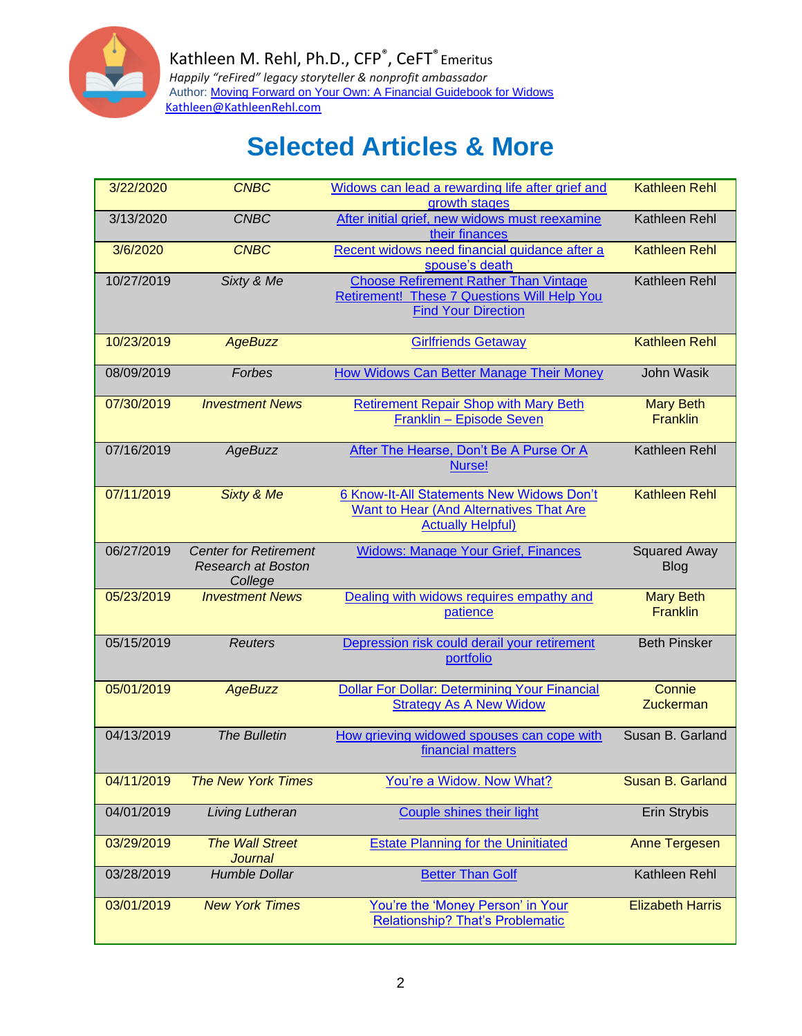

| 3/22/2020  | <b>CNBC</b>                                                          | Widows can lead a rewarding life after grief and<br>growth stages                                                         | <b>Kathleen Rehl</b>                |
|------------|----------------------------------------------------------------------|---------------------------------------------------------------------------------------------------------------------------|-------------------------------------|
| 3/13/2020  | <b>CNBC</b>                                                          | After initial grief, new widows must reexamine<br>their finances                                                          | Kathleen Rehl                       |
| 3/6/2020   | <b>CNBC</b>                                                          | Recent widows need financial guidance after a<br>spouse's death                                                           | <b>Kathleen Rehl</b>                |
| 10/27/2019 | Sixty & Me                                                           | <b>Choose Refirement Rather Than Vintage</b><br>Retirement! These 7 Questions Will Help You<br><b>Find Your Direction</b> | Kathleen Rehl                       |
| 10/23/2019 | <b>AgeBuzz</b>                                                       | <b>Girlfriends Getaway</b>                                                                                                | <b>Kathleen Rehl</b>                |
| 08/09/2019 | Forbes                                                               | <b>How Widows Can Better Manage Their Money</b>                                                                           | John Wasik                          |
| 07/30/2019 | <b>Investment News</b>                                               | <b>Retirement Repair Shop with Mary Beth</b><br><b>Franklin - Episode Seven</b>                                           | <b>Mary Beth</b><br><b>Franklin</b> |
| 07/16/2019 | <b>AgeBuzz</b>                                                       | After The Hearse, Don't Be A Purse Or A<br>Nurse!                                                                         | Kathleen Rehl                       |
| 07/11/2019 | Sixty & Me                                                           | 6 Know-It-All Statements New Widows Don't<br><b>Want to Hear (And Alternatives That Are</b><br><b>Actually Helpful)</b>   | <b>Kathleen Rehl</b>                |
| 06/27/2019 | <b>Center for Retirement</b><br><b>Research at Boston</b><br>College | <b>Widows: Manage Your Grief, Finances</b>                                                                                | <b>Squared Away</b><br><b>Blog</b>  |
| 05/23/2019 | <b>Investment News</b>                                               | Dealing with widows requires empathy and<br>patience                                                                      | <b>Mary Beth</b><br><b>Franklin</b> |
| 05/15/2019 | <b>Reuters</b>                                                       | Depression risk could derail your retirement<br>portfolio                                                                 | <b>Beth Pinsker</b>                 |
| 05/01/2019 | <b>AgeBuzz</b>                                                       | <b>Dollar For Dollar: Determining Your Financial</b><br><b>Strategy As A New Widow</b>                                    | Connie<br>Zuckerman                 |
| 04/13/2019 | <b>The Bulletin</b>                                                  | How grieving widowed spouses can cope with<br>financial matters                                                           | Susan B. Garland                    |
| 04/11/2019 | <b>The New York Times</b>                                            | You're a Widow. Now What?                                                                                                 | Susan B. Garland                    |
| 04/01/2019 | <b>Living Lutheran</b>                                               | <b>Couple shines their light</b>                                                                                          | Erin Strybis                        |
| 03/29/2019 | <b>The Wall Street</b><br><b>Journal</b>                             | <b>Estate Planning for the Uninitiated</b>                                                                                | <b>Anne Tergesen</b>                |
| 03/28/2019 | Humble Dollar                                                        | <b>Better Than Golf</b>                                                                                                   | Kathleen Rehl                       |
| 03/01/2019 | <b>New York Times</b>                                                | You're the 'Money Person' in Your<br><b>Relationship? That's Problematic</b>                                              | <b>Elizabeth Harris</b>             |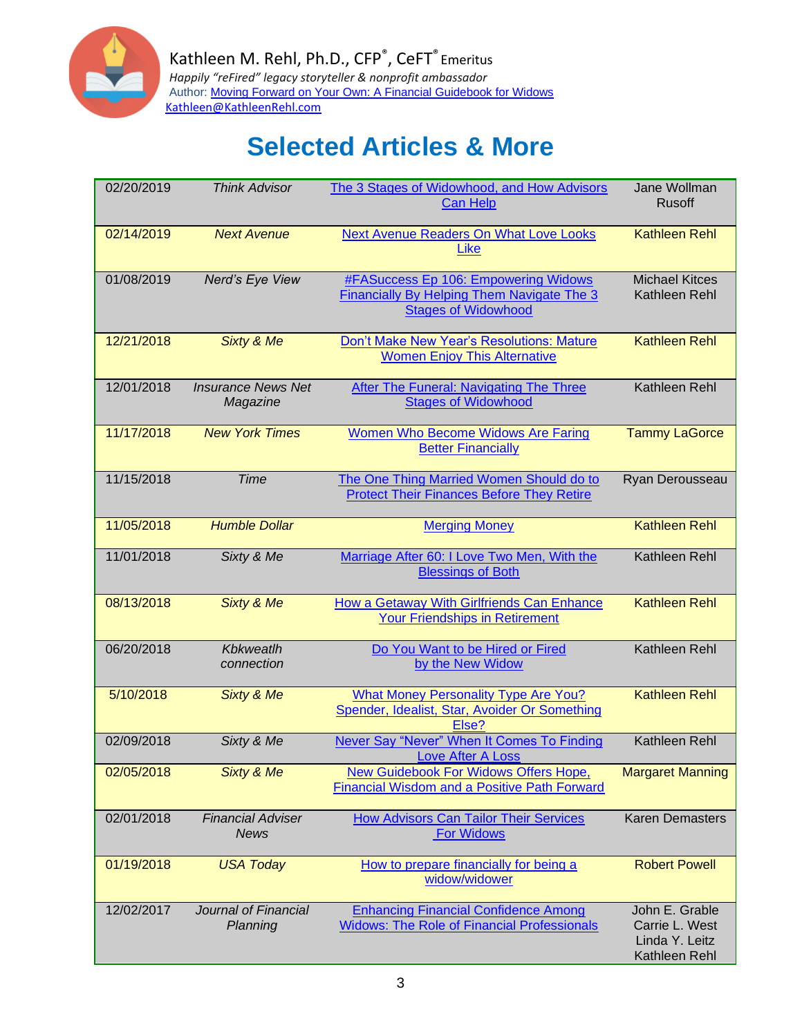

| 02/20/2019 | <b>Think Advisor</b>                    | The 3 Stages of Widowhood, and How Advisors<br><b>Can Help</b>                                                                 | Jane Wollman<br><b>Rusoff</b>                                       |
|------------|-----------------------------------------|--------------------------------------------------------------------------------------------------------------------------------|---------------------------------------------------------------------|
| 02/14/2019 | <b>Next Avenue</b>                      | <b>Next Avenue Readers On What Love Looks</b><br><b>Like</b>                                                                   | <b>Kathleen Rehl</b>                                                |
| 01/08/2019 | Nerd's Eye View                         | <b>#FASuccess Ep 106: Empowering Widows</b><br><b>Financially By Helping Them Navigate The 3</b><br><b>Stages of Widowhood</b> | <b>Michael Kitces</b><br>Kathleen Rehl                              |
| 12/21/2018 | <b>Sixty &amp; Me</b>                   | Don't Make New Year's Resolutions: Mature<br><b>Women Enjoy This Alternative</b>                                               | <b>Kathleen Rehl</b>                                                |
| 12/01/2018 | <b>Insurance News Net</b><br>Magazine   | After The Funeral: Navigating The Three<br><b>Stages of Widowhood</b>                                                          | Kathleen Rehl                                                       |
| 11/17/2018 | <b>New York Times</b>                   | <b>Women Who Become Widows Are Faring</b><br><b>Better Financially</b>                                                         | <b>Tammy LaGorce</b>                                                |
| 11/15/2018 | <b>Time</b>                             | The One Thing Married Women Should do to<br><b>Protect Their Finances Before They Retire</b>                                   | Ryan Derousseau                                                     |
| 11/05/2018 | <b>Humble Dollar</b>                    | <b>Merging Money</b>                                                                                                           | <b>Kathleen Rehl</b>                                                |
| 11/01/2018 | Sixty & Me                              | Marriage After 60: I Love Two Men, With the<br><b>Blessings of Both</b>                                                        | Kathleen Rehl                                                       |
| 08/13/2018 | <b>Sixty &amp; Me</b>                   | How a Getaway With Girlfriends Can Enhance<br><b>Your Friendships in Retirement</b>                                            | <b>Kathleen Rehl</b>                                                |
| 06/20/2018 | <b>Kbkweatlh</b><br>connection          | Do You Want to be Hired or Fired<br>by the New Widow                                                                           | Kathleen Rehl                                                       |
| 5/10/2018  | <b>Sixty &amp; Me</b>                   | <b>What Money Personality Type Are You?</b><br>Spender, Idealist, Star, Avoider Or Something<br>Else?                          | <b>Kathleen Rehl</b>                                                |
| 02/09/2018 | Sixty & Me                              | Never Say "Never" When It Comes To Finding<br><b>Love After A Loss</b>                                                         | Kathleen Rehl                                                       |
| 02/05/2018 | <b>Sixty &amp; Me</b>                   | <b>New Guidebook For Widows Offers Hope,</b><br><b>Financial Wisdom and a Positive Path Forward</b>                            | <b>Margaret Manning</b>                                             |
| 02/01/2018 | <b>Financial Adviser</b><br><b>News</b> | <b>How Advisors Can Tailor Their Services</b><br><b>For Widows</b>                                                             | <b>Karen Demasters</b>                                              |
| 01/19/2018 | <b>USA Today</b>                        | How to prepare financially for being a<br>widow/widower                                                                        | <b>Robert Powell</b>                                                |
| 12/02/2017 | Journal of Financial<br>Planning        | <b>Enhancing Financial Confidence Among</b><br><b>Widows: The Role of Financial Professionals</b>                              | John E. Grable<br>Carrie L. West<br>Linda Y. Leitz<br>Kathleen Rehl |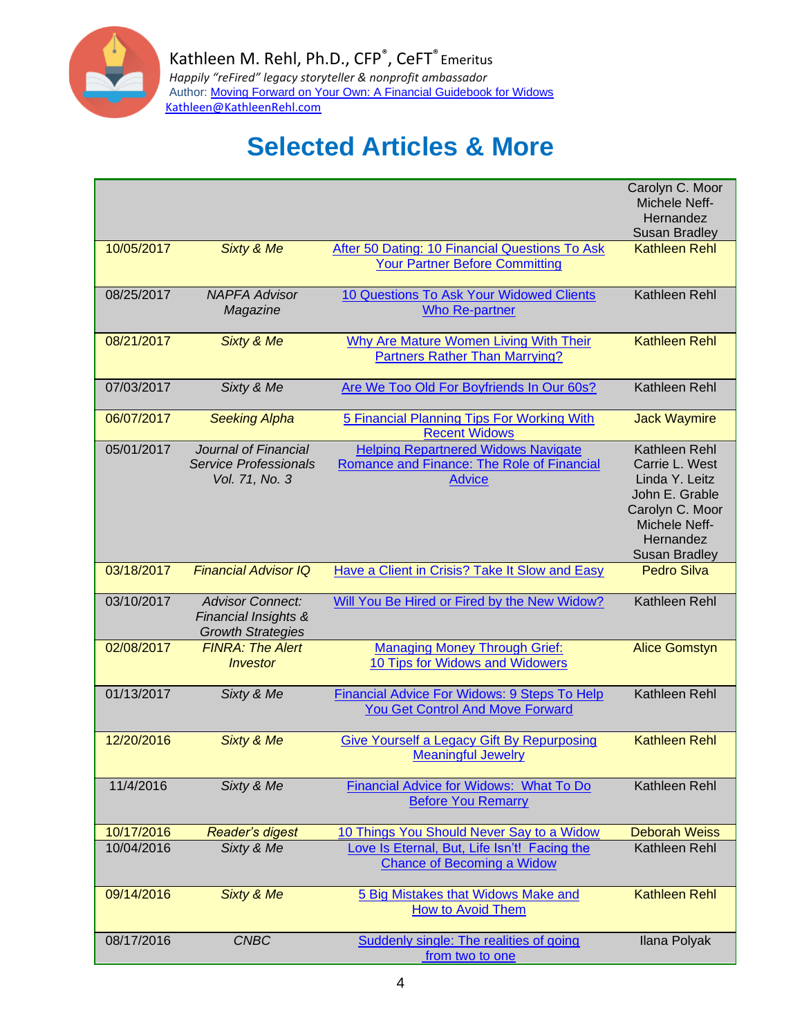

|            |                                                                             |                                                                                                           | Carolyn C. Moor<br>Michele Neff-<br>Hernandez<br><b>Susan Bradley</b>                                                                        |
|------------|-----------------------------------------------------------------------------|-----------------------------------------------------------------------------------------------------------|----------------------------------------------------------------------------------------------------------------------------------------------|
| 10/05/2017 | <b>Sixty &amp; Me</b>                                                       | After 50 Dating: 10 Financial Questions To Ask<br><b>Your Partner Before Committing</b>                   | <b>Kathleen Rehl</b>                                                                                                                         |
| 08/25/2017 | <b>NAPFA Advisor</b><br>Magazine                                            | 10 Questions To Ask Your Widowed Clients<br><b>Who Re-partner</b>                                         | Kathleen Rehl                                                                                                                                |
| 08/21/2017 | Sixty & Me                                                                  | Why Are Mature Women Living With Their<br><b>Partners Rather Than Marrying?</b>                           | <b>Kathleen Rehl</b>                                                                                                                         |
| 07/03/2017 | Sixty & Me                                                                  | Are We Too Old For Boyfriends In Our 60s?                                                                 | Kathleen Rehl                                                                                                                                |
| 06/07/2017 | <b>Seeking Alpha</b>                                                        | 5 Financial Planning Tips For Working With<br><b>Recent Widows</b>                                        | <b>Jack Waymire</b>                                                                                                                          |
| 05/01/2017 | Journal of Financial<br><b>Service Professionals</b><br>Vol. 71, No. 3      | <b>Helping Repartnered Widows Navigate</b><br>Romance and Finance: The Role of Financial<br><b>Advice</b> | Kathleen Rehl<br>Carrie L. West<br>Linda Y. Leitz<br>John E. Grable<br>Carolyn C. Moor<br>Michele Neff-<br>Hernandez<br><b>Susan Bradley</b> |
| 03/18/2017 | <b>Financial Advisor IQ</b>                                                 | Have a Client in Crisis? Take It Slow and Easy                                                            | <b>Pedro Silva</b>                                                                                                                           |
| 03/10/2017 | <b>Advisor Connect:</b><br>Financial Insights &<br><b>Growth Strategies</b> | Will You Be Hired or Fired by the New Widow?                                                              | Kathleen Rehl                                                                                                                                |
| 02/08/2017 | <b>FINRA: The Alert</b><br><i><b>Investor</b></i>                           | <b>Managing Money Through Grief:</b><br>10 Tips for Widows and Widowers                                   | <b>Alice Gomstyn</b>                                                                                                                         |
| 01/13/2017 | Sixty & Me                                                                  | <b>Financial Advice For Widows: 9 Steps To Help</b><br><b>You Get Control And Move Forward</b>            | Kathleen Rehl                                                                                                                                |
| 12/20/2016 | <b>Sixty &amp; Me</b>                                                       | <b>Give Yourself a Legacy Gift By Repurposing</b><br><b>Meaningful Jewelry</b>                            | <b>Kathleen Rehl</b>                                                                                                                         |
| 11/4/2016  | Sixty & Me                                                                  | Financial Advice for Widows: What To Do<br><b>Before You Remarry</b>                                      | Kathleen Rehl                                                                                                                                |
| 10/17/2016 | <b>Reader's digest</b>                                                      | 10 Things You Should Never Say to a Widow                                                                 | <b>Deborah Weiss</b>                                                                                                                         |
| 10/04/2016 | Sixty & Me                                                                  | Love Is Eternal, But, Life Isn't! Facing the<br><b>Chance of Becoming a Widow</b>                         | Kathleen Rehl                                                                                                                                |
| 09/14/2016 | <b>Sixty &amp; Me</b>                                                       | 5 Big Mistakes that Widows Make and<br><b>How to Avoid Them</b>                                           | <b>Kathleen Rehl</b>                                                                                                                         |
| 08/17/2016 | <b>CNBC</b>                                                                 | Suddenly single: The realities of going<br>from two to one                                                | Ilana Polyak                                                                                                                                 |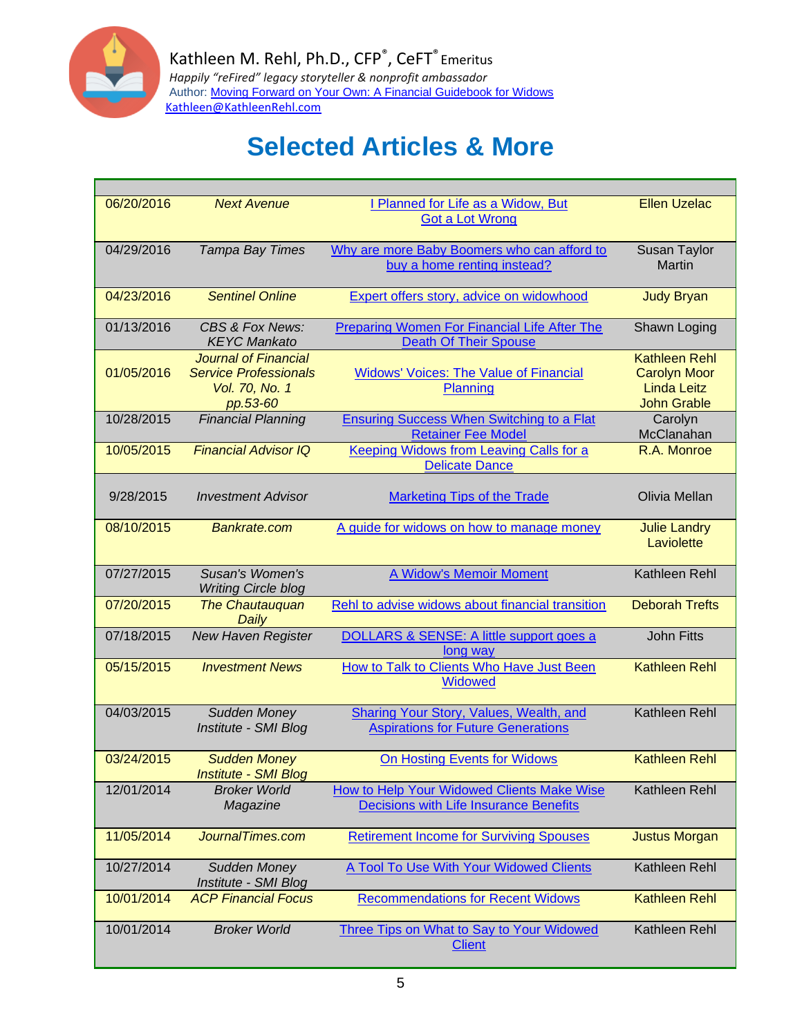

| 06/20/2016 |                                       |                                                                   |                                           |
|------------|---------------------------------------|-------------------------------------------------------------------|-------------------------------------------|
|            | <b>Next Avenue</b>                    | I Planned for Life as a Widow, But                                | <b>Ellen Uzelac</b>                       |
|            |                                       | <b>Got a Lot Wrong</b>                                            |                                           |
|            |                                       |                                                                   |                                           |
| 04/29/2016 | Tampa Bay Times                       | Why are more Baby Boomers who can afford to                       | Susan Taylor                              |
|            |                                       | buy a home renting instead?                                       | <b>Martin</b>                             |
|            |                                       |                                                                   |                                           |
| 04/23/2016 | <b>Sentinel Online</b>                | Expert offers story, advice on widowhood                          | <b>Judy Bryan</b>                         |
|            |                                       |                                                                   |                                           |
| 01/13/2016 | CBS & Fox News:                       | <b>Preparing Women For Financial Life After The</b>               | Shawn Loging                              |
|            | <b>KEYC Mankato</b>                   | <b>Death Of Their Spouse</b>                                      |                                           |
|            | <b>Journal of Financial</b>           |                                                                   | <b>Kathleen Rehl</b>                      |
| 01/05/2016 | <b>Service Professionals</b>          | <b>Widows' Voices: The Value of Financial</b>                     | <b>Carolyn Moor</b><br><b>Linda Leitz</b> |
|            | Vol. 70, No. 1                        | Planning                                                          | <b>John Grable</b>                        |
| 10/28/2015 | pp.53-60<br><b>Financial Planning</b> | <b>Ensuring Success When Switching to a Flat</b>                  | Carolyn                                   |
|            |                                       | <b>Retainer Fee Model</b>                                         | McClanahan                                |
| 10/05/2015 | <b>Financial Advisor IQ</b>           | <b>Keeping Widows from Leaving Calls for a</b>                    | R.A. Monroe                               |
|            |                                       | <b>Delicate Dance</b>                                             |                                           |
|            |                                       |                                                                   |                                           |
| 9/28/2015  | <b>Investment Advisor</b>             | <b>Marketing Tips of the Trade</b>                                | Olivia Mellan                             |
|            |                                       |                                                                   |                                           |
| 08/10/2015 | Bankrate.com                          | A guide for widows on how to manage money                         | <b>Julie Landry</b>                       |
|            |                                       |                                                                   | Laviolette                                |
|            |                                       |                                                                   |                                           |
| 07/27/2015 | Susan's Women's                       | A Widow's Memoir Moment                                           | Kathleen Rehl                             |
|            | <b>Writing Circle blog</b>            |                                                                   |                                           |
|            |                                       |                                                                   |                                           |
| 07/20/2015 | <b>The Chautauquan</b>                | Rehl to advise widows about financial transition                  | <b>Deborah Trefts</b>                     |
|            | Daily                                 |                                                                   |                                           |
| 07/18/2015 | <b>New Haven Register</b>             | DOLLARS & SENSE: A little support goes a                          | <b>John Fitts</b>                         |
|            |                                       | long way                                                          |                                           |
| 05/15/2015 | <b>Investment News</b>                | How to Talk to Clients Who Have Just Been                         | <b>Kathleen Rehl</b>                      |
|            |                                       | <b>Widowed</b>                                                    |                                           |
|            |                                       |                                                                   |                                           |
| 04/03/2015 | Sudden Money                          | <b>Sharing Your Story, Values, Wealth, and</b>                    | Kathleen Rehl                             |
|            | Institute - SMI Blog                  | <b>Aspirations for Future Generations</b>                         |                                           |
|            |                                       |                                                                   |                                           |
| 03/24/2015 | <b>Sudden Money</b>                   | <b>On Hosting Events for Widows</b>                               | <b>Kathleen Rehl</b>                      |
|            | <b>Institute - SMI Blog</b>           |                                                                   |                                           |
| 12/01/2014 | <b>Broker World</b>                   | How to Help Your Widowed Clients Make Wise                        | Kathleen Rehl                             |
|            | Magazine                              | <b>Decisions with Life Insurance Benefits</b>                     |                                           |
|            |                                       |                                                                   |                                           |
| 11/05/2014 | JournalTimes.com                      | <b>Retirement Income for Surviving Spouses</b>                    | <b>Justus Morgan</b>                      |
|            |                                       |                                                                   |                                           |
| 10/27/2014 | Sudden Money                          | A Tool To Use With Your Widowed Clients                           | Kathleen Rehl                             |
|            | Institute - SMI Blog                  |                                                                   |                                           |
| 10/01/2014 | <b>ACP Financial Focus</b>            | <b>Recommendations for Recent Widows</b>                          | <b>Kathleen Rehl</b>                      |
| 10/01/2014 | <b>Broker World</b>                   |                                                                   | Kathleen Rehl                             |
|            |                                       | <b>Three Tips on What to Say to Your Widowed</b><br><b>Client</b> |                                           |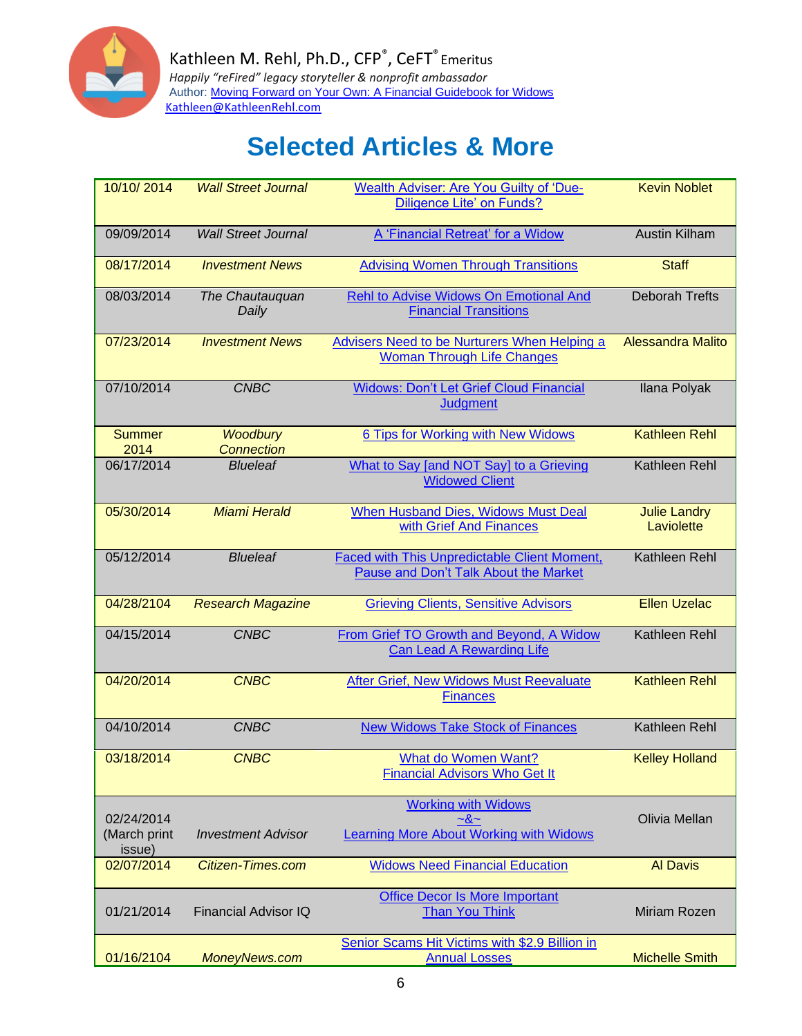

| 10/10/2014                           | <b>Wall Street Journal</b>           | Wealth Adviser: Are You Guilty of 'Due-<br><b>Diligence Lite' on Funds?</b>           | <b>Kevin Noblet</b>               |
|--------------------------------------|--------------------------------------|---------------------------------------------------------------------------------------|-----------------------------------|
| 09/09/2014                           | <b>Wall Street Journal</b>           | A 'Financial Retreat' for a Widow                                                     | <b>Austin Kilham</b>              |
| 08/17/2014                           | <b>Investment News</b>               | <b>Advising Women Through Transitions</b>                                             | <b>Staff</b>                      |
| 08/03/2014                           | The Chautauquan<br>Daily             | Rehl to Advise Widows On Emotional And<br><b>Financial Transitions</b>                | <b>Deborah Trefts</b>             |
| 07/23/2014                           | <b>Investment News</b>               | Advisers Need to be Nurturers When Helping a<br><b>Woman Through Life Changes</b>     | <b>Alessandra Malito</b>          |
| 07/10/2014                           | <b>CNBC</b>                          | <b>Widows: Don't Let Grief Cloud Financial</b><br><b>Judgment</b>                     | Ilana Polyak                      |
| <b>Summer</b><br>2014                | <b>Woodbury</b><br><b>Connection</b> | 6 Tips for Working with New Widows                                                    | <b>Kathleen Rehl</b>              |
| 06/17/2014                           | <b>Blueleaf</b>                      | What to Say [and NOT Say] to a Grieving<br><b>Widowed Client</b>                      | Kathleen Rehl                     |
| 05/30/2014                           | <b>Miami Herald</b>                  | <b>When Husband Dies, Widows Must Deal</b><br>with Grief And Finances                 | <b>Julie Landry</b><br>Laviolette |
| 05/12/2014                           | <b>Blueleaf</b>                      | Faced with This Unpredictable Client Moment,<br>Pause and Don't Talk About the Market | Kathleen Rehl                     |
| 04/28/2104                           | <b>Research Magazine</b>             | <b>Grieving Clients, Sensitive Advisors</b>                                           | <b>Ellen Uzelac</b>               |
| 04/15/2014                           | <b>CNBC</b>                          | From Grief TO Growth and Beyond, A Widow<br><b>Can Lead A Rewarding Life</b>          | Kathleen Rehl                     |
| 04/20/2014                           | <b>CNBC</b>                          | After Grief, New Widows Must Reevaluate<br><b>Finances</b>                            | <b>Kathleen Rehl</b>              |
| 04/10/2014                           | <b>CNBC</b>                          | <b>New Widows Take Stock of Finances</b>                                              | Kathleen Rehl                     |
| 03/18/2014                           | <b>CNBC</b>                          | What do Women Want?<br><b>Financial Advisors Who Get It</b>                           | <b>Kelley Holland</b>             |
| 02/24/2014<br>(March print<br>issue) | <b>Investment Advisor</b>            | <b>Working with Widows</b><br>$-8-$<br>Learning More About Working with Widows        | Olivia Mellan                     |
| 02/07/2014                           | <b>Citizen-Times.com</b>             | <b>Widows Need Financial Education</b>                                                | <b>Al Davis</b>                   |
| 01/21/2014                           | Financial Advisor IQ                 | <b>Office Decor Is More Important</b><br><b>Than You Think</b>                        | Miriam Rozen                      |
| 01/16/2104                           | MoneyNews.com                        | Senior Scams Hit Victims with \$2.9 Billion in<br><b>Annual Losses</b>                | <b>Michelle Smith</b>             |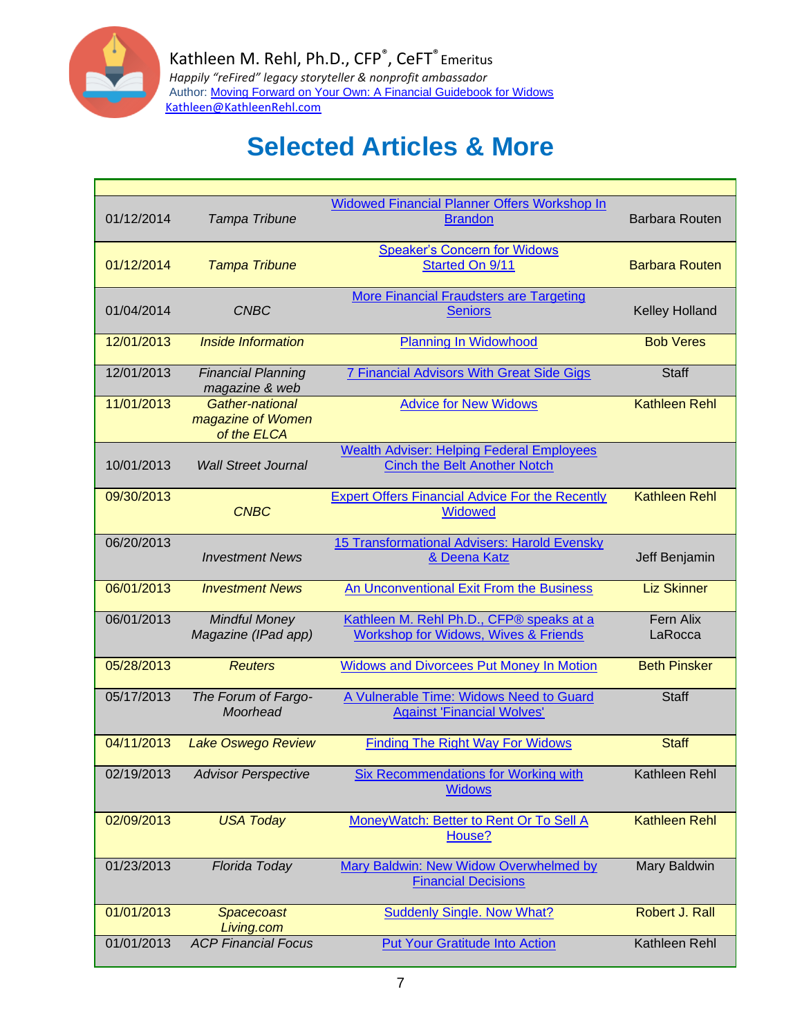

| 01/12/2014 | Tampa Tribune                                       | Widowed Financial Planner Offers Workshop In<br><b>Brandon</b>                              | <b>Barbara Routen</b> |
|------------|-----------------------------------------------------|---------------------------------------------------------------------------------------------|-----------------------|
| 01/12/2014 | <b>Tampa Tribune</b>                                | <b>Speaker's Concern for Widows</b><br>Started On 9/11                                      | <b>Barbara Routen</b> |
| 01/04/2014 | <b>CNBC</b>                                         | <b>More Financial Fraudsters are Targeting</b><br><b>Seniors</b>                            | Kelley Holland        |
| 12/01/2013 | Inside Information                                  | <b>Planning In Widowhood</b>                                                                | <b>Bob Veres</b>      |
| 12/01/2013 | <b>Financial Planning</b><br>magazine & web         | 7 Financial Advisors With Great Side Gigs                                                   | <b>Staff</b>          |
| 11/01/2013 | Gather-national<br>magazine of Women<br>of the ELCA | <b>Advice for New Widows</b>                                                                | <b>Kathleen Rehl</b>  |
| 10/01/2013 | <b>Wall Street Journal</b>                          | <b>Wealth Adviser: Helping Federal Employees</b><br><b>Cinch the Belt Another Notch</b>     |                       |
| 09/30/2013 | <b>CNBC</b>                                         | <b>Expert Offers Financial Advice For the Recently</b><br><b>Widowed</b>                    | <b>Kathleen Rehl</b>  |
| 06/20/2013 | <b>Investment News</b>                              | 15 Transformational Advisers: Harold Evensky<br>& Deena Katz                                | Jeff Benjamin         |
| 06/01/2013 | <b>Investment News</b>                              | An Unconventional Exit From the Business                                                    | <b>Liz Skinner</b>    |
| 06/01/2013 | <b>Mindful Money</b><br>Magazine (IPad app)         | Kathleen M. Rehl Ph.D., CFP® speaks at a<br><b>Workshop for Widows, Wives &amp; Friends</b> | Fern Alix<br>LaRocca  |
| 05/28/2013 | <b>Reuters</b>                                      | <b>Widows and Divorcees Put Money In Motion</b>                                             | <b>Beth Pinsker</b>   |
| 05/17/2013 | The Forum of Fargo-<br>Moorhead                     | A Vulnerable Time: Widows Need to Guard<br><b>Against 'Financial Wolves'</b>                | <b>Staff</b>          |
| 04/11/2013 | Lake Oswego Review                                  | <b>Finding The Right Way For Widows</b>                                                     | <b>Staff</b>          |
| 02/19/2013 | <b>Advisor Perspective</b>                          | <b>Six Recommendations for Working with</b><br><b>Widows</b>                                | Kathleen Rehl         |
| 02/09/2013 | <b>USA Today</b>                                    | MoneyWatch: Better to Rent Or To Sell A<br>House?                                           | <b>Kathleen Rehl</b>  |
| 01/23/2013 | Florida Today                                       | Mary Baldwin: New Widow Overwhelmed by<br><b>Financial Decisions</b>                        | <b>Mary Baldwin</b>   |
| 01/01/2013 | <b>Spacecoast</b><br>Living.com                     | <b>Suddenly Single. Now What?</b>                                                           | Robert J. Rall        |
| 01/01/2013 | <b>ACP Financial Focus</b>                          | <b>Put Your Gratitude Into Action</b>                                                       | Kathleen Rehl         |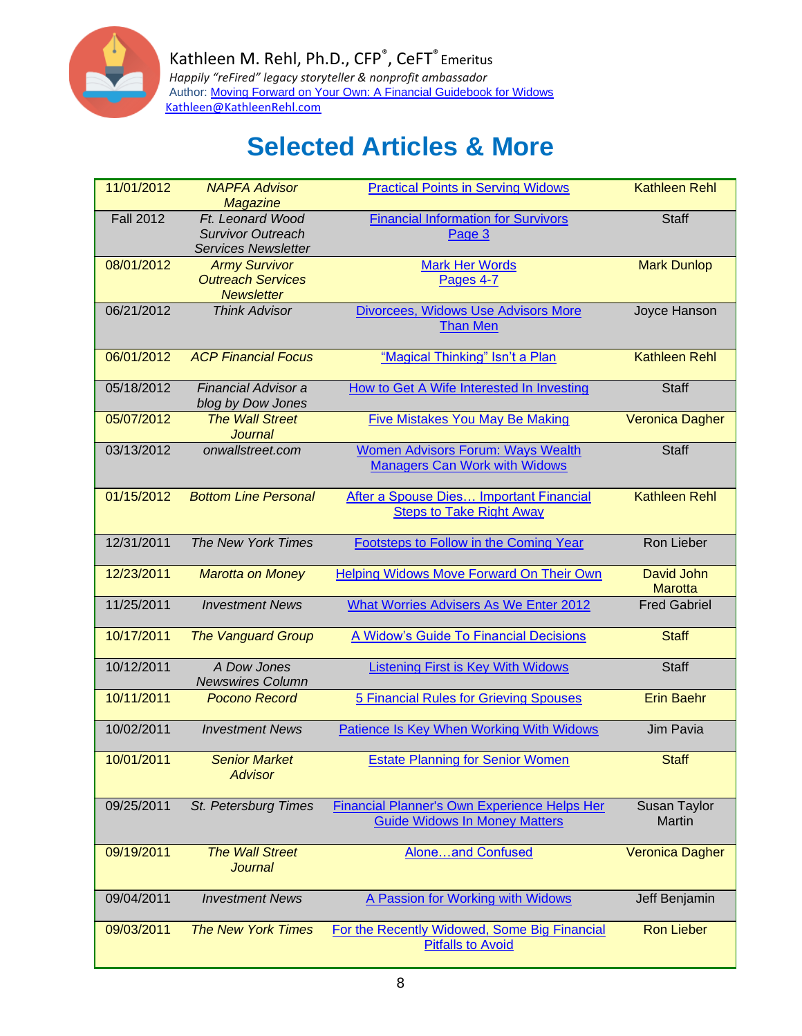

| 11/01/2012       | <b>NAPFA Advisor</b><br>Magazine                                           | <b>Practical Points in Serving Widows</b>                                            | <b>Kathleen Rehl</b>         |
|------------------|----------------------------------------------------------------------------|--------------------------------------------------------------------------------------|------------------------------|
| <b>Fall 2012</b> | Ft. Leonard Wood<br><b>Survivor Outreach</b><br><b>Services Newsletter</b> | <b>Financial Information for Survivors</b><br>Page 3                                 | <b>Staff</b>                 |
| 08/01/2012       | <b>Army Survivor</b><br><b>Outreach Services</b><br><b>Newsletter</b>      | <b>Mark Her Words</b><br>Pages 4-7                                                   | <b>Mark Dunlop</b>           |
| 06/21/2012       | <b>Think Advisor</b>                                                       | Divorcees, Widows Use Advisors More<br><b>Than Men</b>                               | Joyce Hanson                 |
| 06/01/2012       | <b>ACP Financial Focus</b>                                                 | "Magical Thinking" Isn't a Plan                                                      | <b>Kathleen Rehl</b>         |
| 05/18/2012       | Financial Advisor a<br>blog by Dow Jones                                   | How to Get A Wife Interested In Investing                                            | <b>Staff</b>                 |
| 05/07/2012       | <b>The Wall Street</b><br><b>Journal</b>                                   | <b>Five Mistakes You May Be Making</b>                                               | <b>Veronica Dagher</b>       |
| 03/13/2012       | onwallstreet.com                                                           | <b>Women Advisors Forum: Ways Wealth</b><br><b>Managers Can Work with Widows</b>     | <b>Staff</b>                 |
| 01/15/2012       | <b>Bottom Line Personal</b>                                                | After a Spouse Dies Important Financial<br><b>Steps to Take Right Away</b>           | <b>Kathleen Rehl</b>         |
| 12/31/2011       | The New York Times                                                         | Footsteps to Follow in the Coming Year                                               | Ron Lieber                   |
| 12/23/2011       | <b>Marotta on Money</b>                                                    | Helping Widows Move Forward On Their Own                                             | David John<br><b>Marotta</b> |
| 11/25/2011       | <b>Investment News</b>                                                     | What Worries Advisers As We Enter 2012                                               | <b>Fred Gabriel</b>          |
| 10/17/2011       | <b>The Vanguard Group</b>                                                  | A Widow's Guide To Financial Decisions                                               | <b>Staff</b>                 |
| 10/12/2011       | A Dow Jones<br><b>Newswires Column</b>                                     | <b>Listening First is Key With Widows</b>                                            | <b>Staff</b>                 |
| 10/11/2011       | <b>Pocono Record</b>                                                       | 5 Financial Rules for Grieving Spouses                                               | <b>Erin Baehr</b>            |
| 10/02/2011       | <b>Investment News</b>                                                     | <b>Patience Is Key When Working With Widows</b>                                      | Jim Pavia                    |
| 10/01/2011       | <b>Senior Market</b><br><b>Advisor</b>                                     | <b>Estate Planning for Senior Women</b>                                              | <b>Staff</b>                 |
| 09/25/2011       | St. Petersburg Times                                                       | Financial Planner's Own Experience Helps Her<br><b>Guide Widows In Money Matters</b> | Susan Taylor<br>Martin       |
| 09/19/2011       | <b>The Wall Street</b><br><b>Journal</b>                                   | Aloneand Confused                                                                    | <b>Veronica Dagher</b>       |
| 09/04/2011       | <b>Investment News</b>                                                     | A Passion for Working with Widows                                                    | Jeff Benjamin                |
| 09/03/2011       | <b>The New York Times</b>                                                  | For the Recently Widowed, Some Big Financial<br><b>Pitfalls to Avoid</b>             | <b>Ron Lieber</b>            |